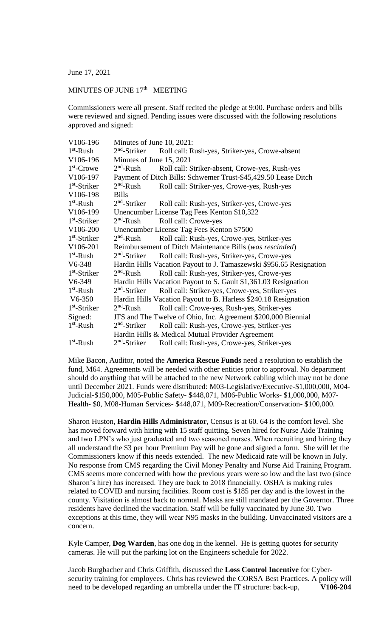June 17, 2021

## MINUTES OF JUNE  $17<sup>th</sup>$  MEETING

Commissioners were all present. Staff recited the pledge at 9:00. Purchase orders and bills were reviewed and signed. Pending issues were discussed with the following resolutions approved and signed:

| V106-196       | Minutes of June 10, 2021:                                           |                                                |  |
|----------------|---------------------------------------------------------------------|------------------------------------------------|--|
| $1st$ -Rush    | $2nd$ -Striker<br>Roll call: Rush-yes, Striker-yes, Crowe-absent    |                                                |  |
| V106-196       | Minutes of June 15, 2021                                            |                                                |  |
| $1st$ -Crowe   | $2nd$ -Rush                                                         | Roll call: Striker-absent, Crowe-yes, Rush-yes |  |
| V106-197       | Payment of Ditch Bills: Schwemer Trust-\$45,429.50 Lease Ditch      |                                                |  |
| $1st$ -Striker | $2nd$ -Rush<br>Roll call: Striker-yes, Crowe-yes, Rush-yes          |                                                |  |
| V106-198       | <b>Bills</b>                                                        |                                                |  |
| $1st$ -Rush    | $2nd$ -Striker<br>Roll call: Rush-yes, Striker-yes, Crowe-yes       |                                                |  |
| V106-199       | Unencumber License Tag Fees Kenton \$10,322                         |                                                |  |
| $1st$ -Striker | $2nd$ -Rush<br>Roll call: Crowe-yes                                 |                                                |  |
| V106-200       | Unencumber License Tag Fees Kenton \$7500                           |                                                |  |
| $1st$ -Striker | $2nd$ -Rush<br>Roll call: Rush-yes, Crowe-yes, Striker-yes          |                                                |  |
| V106-201       | Reimbursement of Ditch Maintenance Bills (was rescinded)            |                                                |  |
| $1st$ -Rush    | Roll call: Rush-yes, Striker-yes, Crowe-yes<br>$2nd$ -Striker       |                                                |  |
| $V6-348$       | Hardin Hills Vacation Payout to J. Tamaszewski \$956.65 Resignation |                                                |  |
| $1st$ -Striker | $2nd$ -Rush<br>Roll call: Rush-yes, Striker-yes, Crowe-yes          |                                                |  |
| $V6-349$       | Hardin Hills Vacation Payout to S. Gault \$1,361.03 Resignation     |                                                |  |
| $1st$ -Rush    | $2nd$ -Striker<br>Roll call: Striker-yes, Crowe-yes, Striker-yes    |                                                |  |
| $V6-350$       | Hardin Hills Vacation Payout to B. Harless \$240.18 Resignation     |                                                |  |
| $1st$ -Striker | $2nd$ -Rush<br>Roll call: Crowe-yes, Rush-yes, Striker-yes          |                                                |  |
| Signed:        | JFS and The Twelve of Ohio, Inc. Agreement \$200,000 Biennial       |                                                |  |
| $1st$ -Rush    | $2nd$ -Striker<br>Roll call: Rush-yes, Crowe-yes, Striker-yes       |                                                |  |
|                | Hardin Hills & Medical Mutual Provider Agreement                    |                                                |  |
| $1st$ -Rush    | $2nd$ -Striker<br>Roll call: Rush-yes, Crowe-yes, Striker-yes       |                                                |  |

Mike Bacon, Auditor, noted the **America Rescue Funds** need a resolution to establish the fund, M64. Agreements will be needed with other entities prior to approval. No department should do anything that will be attached to the new Network cabling which may not be done until December 2021. Funds were distributed: M03-Legislative/Executive-\$1,000,000, M04- Judicial-\$150,000, M05-Public Safety- \$448,071, M06-Public Works- \$1,000,000, M07- Health- \$0, M08-Human Services- \$448,071, M09-Recreation/Conservation- \$100,000.

Sharon Huston, **Hardin Hills Administrator**, Census is at 60. 64 is the comfort level. She has moved forward with hiring with 15 staff quitting. Seven hired for Nurse Aide Training and two LPN's who just graduated and two seasoned nurses. When recruiting and hiring they all understand the \$3 per hour Premium Pay will be gone and signed a form. She will let the Commissioners know if this needs extended. The new Medicaid rate will be known in July. No response from CMS regarding the Civil Money Penalty and Nurse Aid Training Program. CMS seems more concerned with how the previous years were so low and the last two (since Sharon's hire) has increased. They are back to 2018 financially. OSHA is making rules related to COVID and nursing facilities. Room cost is \$185 per day and is the lowest in the county. Visitation is almost back to normal. Masks are still mandated per the Governor. Three residents have declined the vaccination. Staff will be fully vaccinated by June 30. Two exceptions at this time, they will wear N95 masks in the building. Unvaccinated visitors are a concern.

Kyle Camper, **Dog Warden**, has one dog in the kennel. He is getting quotes for security cameras. He will put the parking lot on the Engineers schedule for 2022.

Jacob Burgbacher and Chris Griffith, discussed the **Loss Control Incentive** for Cybersecurity training for employees. Chris has reviewed the CORSA Best Practices. A policy will need to be developed regarding an umbrella under the IT structure: back-up, **V106-204**